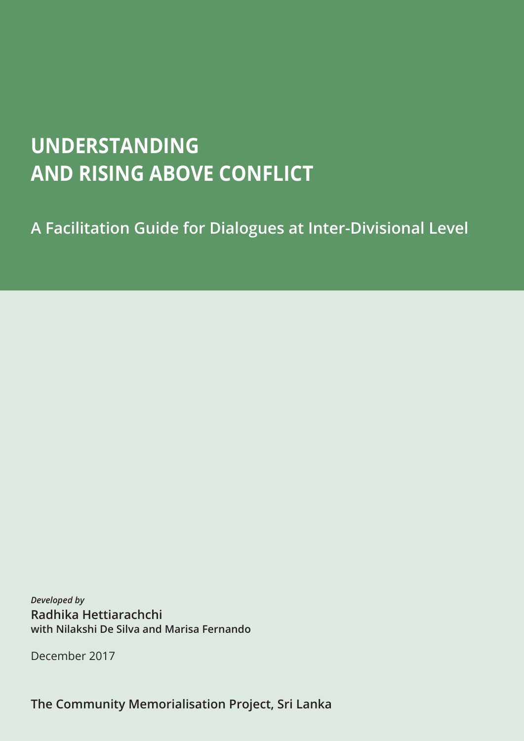# **UNDERSTANDING AND RISING ABOVE CONFLICT**

**A Facilitation Guide for Dialogues at Inter-Divisional Level**

*Developed by* **Radhika Hettiarachchi with Nilakshi De Silva and Marisa Fernando**

December 2017

**The Community Memorialisation Project, Sri Lanka**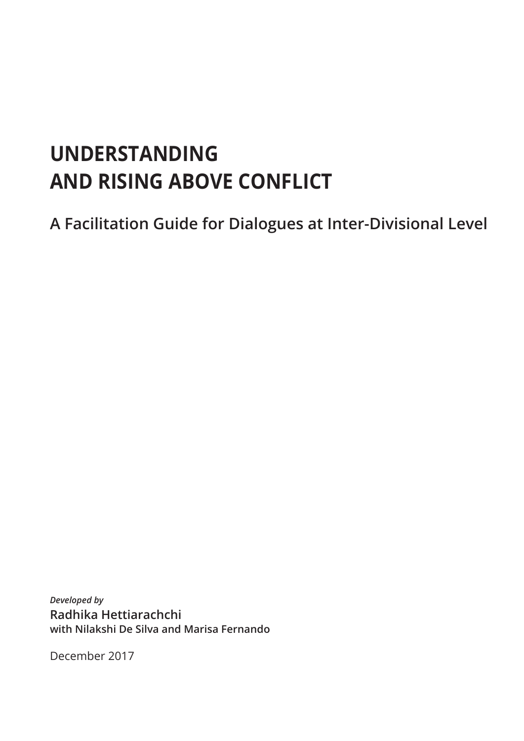# **UNDERSTANDING AND RISING ABOVE CONFLICT**

**A Facilitation Guide for Dialogues at Inter-Divisional Level**

*Developed by* **Radhika Hettiarachchi with Nilakshi De Silva and Marisa Fernando**

December 2017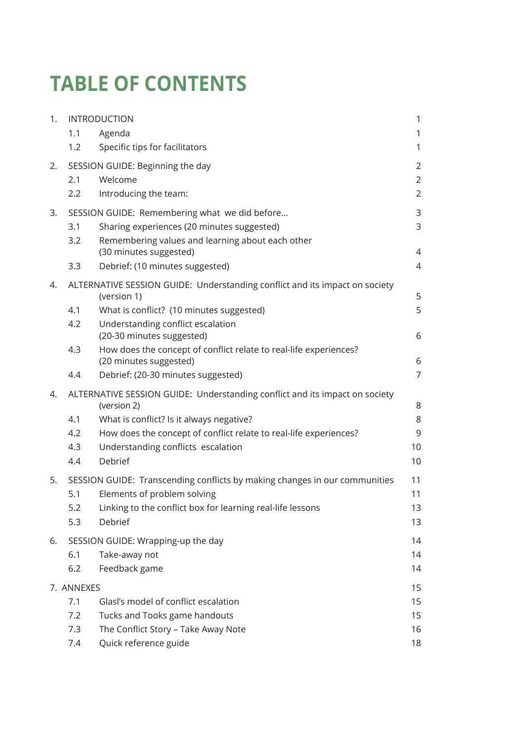# **TABLE OF CONTENTS**

| 1. |            | <b>INTRODUCTION</b>                                                                         | 1              |
|----|------------|---------------------------------------------------------------------------------------------|----------------|
|    | 1.1        | Agenda                                                                                      | 1              |
|    | 1.2        | Specific tips for facilitators                                                              | 1              |
| 2. |            | SESSION GUIDE: Beginning the day                                                            | $\overline{2}$ |
|    | 2.1        | Welcome                                                                                     | $\overline{2}$ |
|    | 2.2        | Introducing the team:                                                                       | $\overline{2}$ |
| 3. |            | SESSION GUIDE: Remembering what we did before                                               | 3              |
|    | 3.1        | Sharing experiences (20 minutes suggested)                                                  | 3              |
|    | 3.2        | Remembering values and learning about each other                                            |                |
|    |            | (30 minutes suggested)                                                                      | 4              |
|    | 3.3        | Debrief: (10 minutes suggested)                                                             | $\overline{4}$ |
| 4. |            | ALTERNATIVE SESSION GUIDE: Understanding conflict and its impact on society<br>(version 1)  | 5              |
|    | 4.1        | What is conflict? (10 minutes suggested)                                                    | 5              |
|    | 4.2        | Understanding conflict escalation                                                           |                |
|    |            | (20-30 minutes suggested)                                                                   | 6              |
|    | 4.3        | How does the concept of conflict relate to real-life experiences?<br>(20 minutes suggested) | 6              |
|    | 4.4        | Debrief: (20-30 minutes suggested)                                                          | $\overline{7}$ |
| 4. |            | ALTERNATIVE SESSION GUIDE: Understanding conflict and its impact on society                 |                |
|    |            | (version 2)                                                                                 | 8              |
|    | 4.1        | What is conflict? Is it always negative?                                                    | 8              |
|    | 4.2        | How does the concept of conflict relate to real-life experiences?                           | 9              |
|    | 4.3        | Understanding conflicts escalation                                                          | 10             |
|    | 4.4        | Debrief                                                                                     | 10             |
| 5. |            | SESSION GUIDE: Transcending conflicts by making changes in our communities                  | 11             |
|    | 5.1        | Elements of problem solving                                                                 | 11             |
|    | 5.2        | Linking to the conflict box for learning real-life lessons                                  | 13             |
|    | 5.3        | Debrief                                                                                     | 13             |
| 6. |            | SESSION GUIDE: Wrapping-up the day                                                          | 14             |
|    | 6.1        | Take-away not                                                                               | 14             |
|    | 6.2        | Feedback game                                                                               | 14             |
|    | 7. ANNEXES |                                                                                             | 15             |
|    | 7.1        | Glasl's model of conflict escalation                                                        | 15             |
|    | 7.2        | Tucks and Tooks game handouts                                                               | 15             |
|    | 7.3        | The Conflict Story - Take Away Note                                                         | 16             |
|    | 7.4        | Quick reference guide                                                                       | 18             |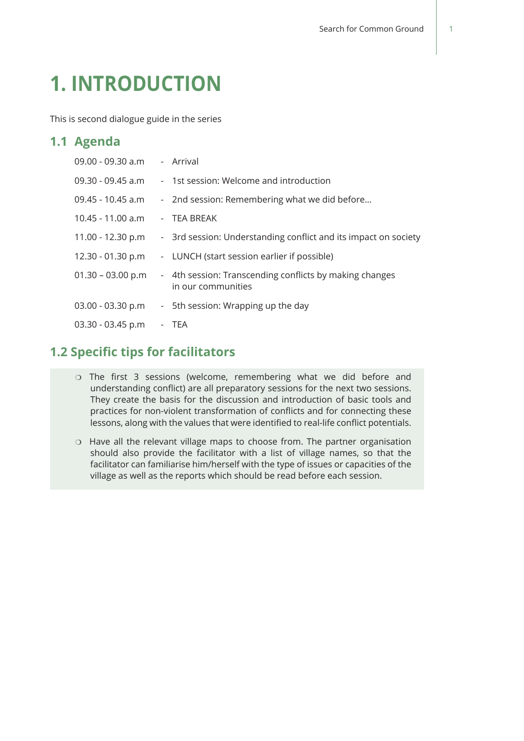## **1. INTRODUCTION**

This is second dialogue guide in the series

#### **1.1 Agenda**

| 09.00 - 09.30 a.m - Arrival |                                                                               |
|-----------------------------|-------------------------------------------------------------------------------|
| 09.30 - 09.45 a.m           | - 1st session: Welcome and introduction                                       |
| 09.45 - 10.45 a.m           | - 2nd session: Remembering what we did before                                 |
| $10.45 - 11.00$ a.m         | - TFA BRFAK                                                                   |
| $11.00 - 12.30 p.m$         | - 3rd session: Understanding conflict and its impact on society               |
| $12.30 - 01.30 p.m$         | - LUNCH (start session earlier if possible)                                   |
| $01.30 - 03.00$ p.m         | - 4th session: Transcending conflicts by making changes<br>in our communities |
| $03.00 - 03.30 p.m$         | - 5th session: Wrapping up the day                                            |
| $03.30 - 03.45 p.m$         | TEA                                                                           |
|                             |                                                                               |

## **1.2 Specific tips for facilitators**

- ❍ The first 3 sessions (welcome, remembering what we did before and understanding conflict) are all preparatory sessions for the next two sessions. They create the basis for the discussion and introduction of basic tools and practices for non-violent transformation of conflicts and for connecting these lessons, along with the values that were identified to real-life conflict potentials.
- ❍ Have all the relevant village maps to choose from. The partner organisation should also provide the facilitator with a list of village names, so that the facilitator can familiarise him/herself with the type of issues or capacities of the village as well as the reports which should be read before each session.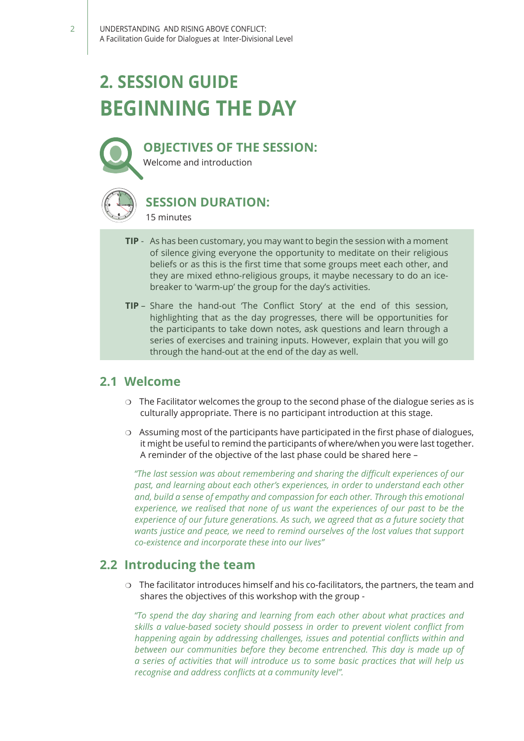## **2. SESSION GUIDE BEGINNING THE DAY**



**OBJECTIVES OF THE SESSION:** 

Welcome and introduction



### **SESSION DURATION:**

15 minutes

- **TIP** As has been customary, you may want to begin the session with a moment of silence giving everyone the opportunity to meditate on their religious beliefs or as this is the first time that some groups meet each other, and they are mixed ethno-religious groups, it maybe necessary to do an icebreaker to 'warm-up' the group for the day's activities.
- **TIP** Share the hand-out 'The Conflict Story' at the end of this session, highlighting that as the day progresses, there will be opportunities for the participants to take down notes, ask questions and learn through a series of exercises and training inputs. However, explain that you will go through the hand-out at the end of the day as well.

### **2.1 Welcome**

- $\circ$  The Facilitator welcomes the group to the second phase of the dialogue series as is culturally appropriate. There is no participant introduction at this stage.
- ❍ Assuming most of the participants have participated in the first phase of dialogues, it might be useful to remind the participants of where/when you were last together. A reminder of the objective of the last phase could be shared here –

*"The last session was about remembering and sharing the difficult experiences of our past, and learning about each other's experiences, in order to understand each other and, build a sense of empathy and compassion for each other. Through this emotional experience, we realised that none of us want the experiences of our past to be the experience of our future generations. As such, we agreed that as a future society that wants justice and peace, we need to remind ourselves of the lost values that support co-existence and incorporate these into our lives"*

### **2.2 Introducing the team**

❍ The facilitator introduces himself and his co-facilitators, the partners, the team and shares the objectives of this workshop with the group -

*"To spend the day sharing and learning from each other about what practices and skills a value-based society should possess in order to prevent violent conflict from happening again by addressing challenges, issues and potential conflicts within and*  between our communities before they become entrenched. This day is made up of *a series of activities that will introduce us to some basic practices that will help us recognise and address conflicts at a community level".*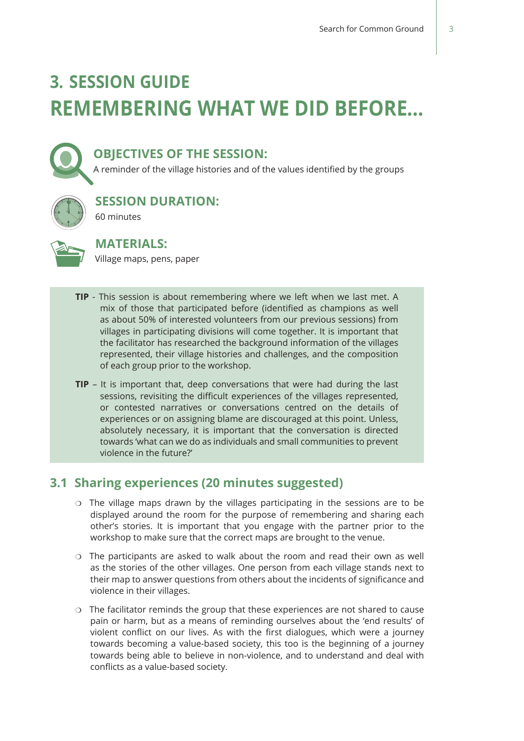## **3. SESSION GUIDE REMEMBERING WHAT WE DID BEFORE…**



#### **OBJECTIVES OF THE SESSION:**

A reminder of the village histories and of the values identified by the groups



### **SESSION DURATION:**

60 minutes



### **MATERIALS:**

Village maps, pens, paper

- **TIP** This session is about remembering where we left when we last met. A mix of those that participated before (identified as champions as well as about 50% of interested volunteers from our previous sessions) from villages in participating divisions will come together. It is important that the facilitator has researched the background information of the villages represented, their village histories and challenges, and the composition of each group prior to the workshop.
- **TIP** It is important that, deep conversations that were had during the last sessions, revisiting the difficult experiences of the villages represented, or contested narratives or conversations centred on the details of experiences or on assigning blame are discouraged at this point. Unless, absolutely necessary, it is important that the conversation is directed towards 'what can we do as individuals and small communities to prevent violence in the future?'

## **3.1 Sharing experiences (20 minutes suggested)**

- ❍ The village maps drawn by the villages participating in the sessions are to be displayed around the room for the purpose of remembering and sharing each other's stories. It is important that you engage with the partner prior to the workshop to make sure that the correct maps are brought to the venue.
- ❍ The participants are asked to walk about the room and read their own as well as the stories of the other villages. One person from each village stands next to their map to answer questions from others about the incidents of significance and violence in their villages.
- ❍ The facilitator reminds the group that these experiences are not shared to cause pain or harm, but as a means of reminding ourselves about the 'end results' of violent conflict on our lives. As with the first dialogues, which were a journey towards becoming a value-based society, this too is the beginning of a journey towards being able to believe in non-violence, and to understand and deal with conflicts as a value-based society.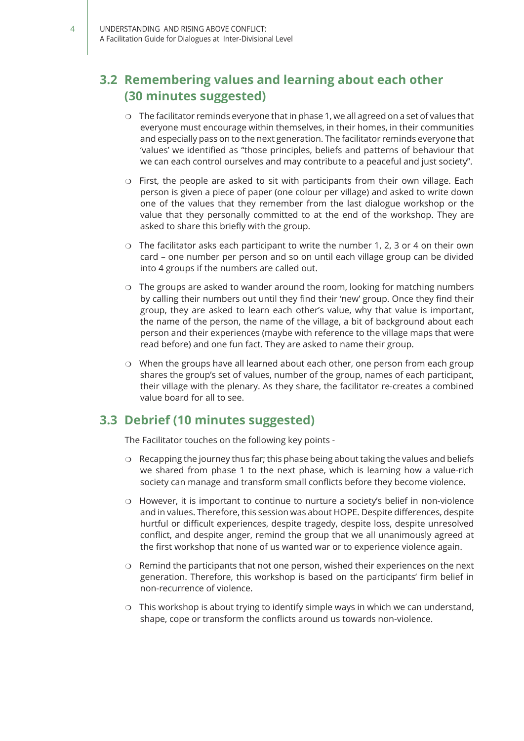## **3.2 Remembering values and learning about each other (30 minutes suggested)**

- ❍ The facilitator reminds everyone thatin phase 1, we all agreed on a set of values that everyone must encourage within themselves, in their homes, in their communities and especially pass on to the next generation. The facilitator reminds everyone that 'values' we identified as "those principles, beliefs and patterns of behaviour that we can each control ourselves and may contribute to a peaceful and just society".
- ❍ First, the people are asked to sit with participants from their own village. Each person is given a piece of paper (one colour per village) and asked to write down one of the values that they remember from the last dialogue workshop or the value that they personally committed to at the end of the workshop. They are asked to share this briefly with the group.
- $\circ$  The facilitator asks each participant to write the number 1, 2, 3 or 4 on their own card – one number per person and so on until each village group can be divided into 4 groups if the numbers are called out.
- ❍ The groups are asked to wander around the room, looking for matching numbers by calling their numbers out until they find their 'new' group. Once they find their group, they are asked to learn each other's value, why that value is important, the name of the person, the name of the village, a bit of background about each person and their experiences (maybe with reference to the village maps that were read before) and one fun fact. They are asked to name their group.
- ❍ When the groups have all learned about each other, one person from each group shares the group's set of values, number of the group, names of each participant, their village with the plenary. As they share, the facilitator re-creates a combined value board for all to see.

### **3.3 Debrief (10 minutes suggested)**

The Facilitator touches on the following key points -

- $\circ$  Recapping the journey thus far; this phase being about taking the values and beliefs we shared from phase 1 to the next phase, which is learning how a value-rich society can manage and transform small conflicts before they become violence.
- ❍ However, it is important to continue to nurture a society's belief in non-violence and in values. Therefore, this session was about HOPE. Despite differences, despite hurtful or difficult experiences, despite tragedy, despite loss, despite unresolved conflict, and despite anger, remind the group that we all unanimously agreed at the first workshop that none of us wanted war or to experience violence again.
- ❍ Remind the participants that not one person, wished their experiences on the next generation. Therefore, this workshop is based on the participants' firm belief in non-recurrence of violence.
- $\circ$  This workshop is about trying to identify simple ways in which we can understand, shape, cope or transform the conflicts around us towards non-violence.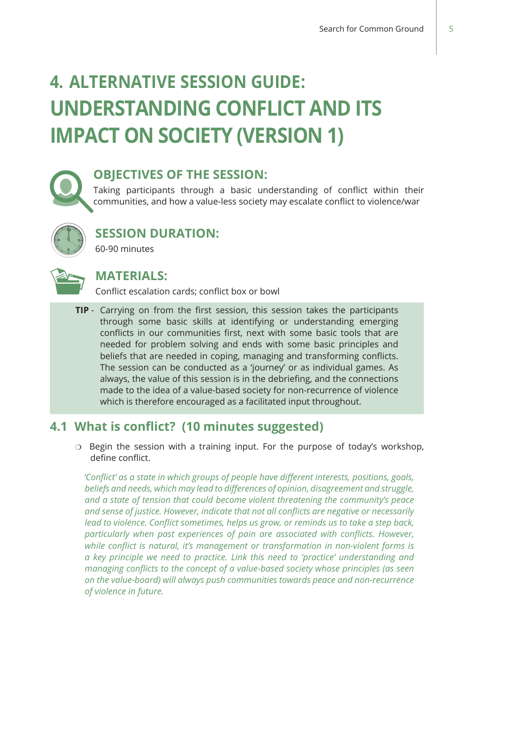## **4. ALTERNATIVE SESSION GUIDE: UNDERSTANDING CONFLICT AND ITS IMPACT ON SOCIETY (VERSION 1)**



#### **OBJECTIVES OF THE SESSION:**

Taking participants through a basic understanding of conflict within their communities, and how a value-less society may escalate conflict to violence/war



### **SESSION DURATION:**

60-90 minutes



#### **MATERIALS:**

Conflict escalation cards; conflict box or bowl

**TIP** - Carrying on from the first session, this session takes the participants through some basic skills at identifying or understanding emerging conflicts in our communities first, next with some basic tools that are needed for problem solving and ends with some basic principles and beliefs that are needed in coping, managing and transforming conflicts. The session can be conducted as a 'journey' or as individual games. As always, the value of this session is in the debriefing, and the connections made to the idea of a value-based society for non-recurrence of violence which is therefore encouraged as a facilitated input throughout.

#### **4.1 What is conflict? (10 minutes suggested)**

❍ Begin the session with a training input. For the purpose of today's workshop, define conflict.

*'Conflict' as a state in which groups of people have different interests, positions, goals, beliefs and needs, which may lead to differences of opinion, disagreement and struggle, and a state of tension that could become violent threatening the community's peace and sense of justice. However, indicate that not all conflicts are negative or necessarily lead to violence. Conflict sometimes, helps us grow, or reminds us to take a step back, particularly when past experiences of pain are associated with conflicts. However, while conflict is natural, it's management or transformation in non-violent forms is a key principle we need to practice. Link this need to 'practice' understanding and managing conflicts to the concept of a value-based society whose principles (as seen on the value-board) will always push communities towards peace and non-recurrence of violence in future.*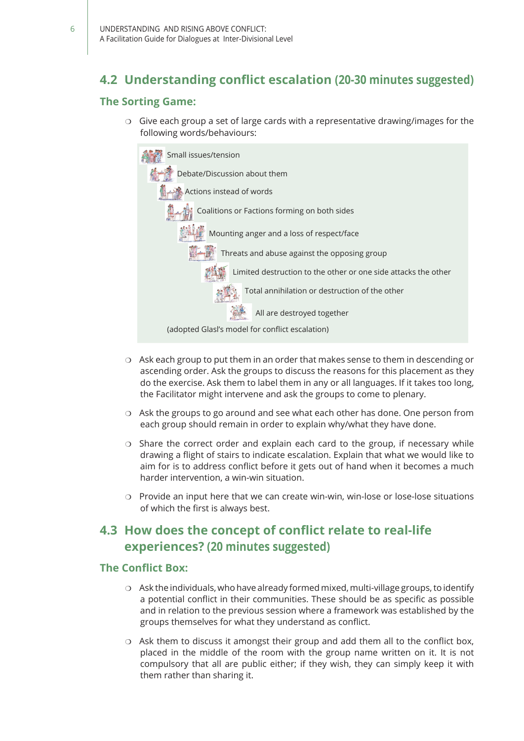## **4.2 Understanding conflict escalation (20-30 minutes suggested)**

#### **The Sorting Game:**

 $\circ$  Give each group a set of large cards with a representative drawing/images for the following words/behaviours:



- ❍ Ask each group to put them in an order that makes sense to them in descending or ascending order. Ask the groups to discuss the reasons for this placement as they do the exercise. Ask them to label them in any or all languages. If it takes too long, the Facilitator might intervene and ask the groups to come to plenary.
- ❍ Ask the groups to go around and see what each other has done. One person from each group should remain in order to explain why/what they have done.
- ❍ Share the correct order and explain each card to the group, if necessary while drawing a flight of stairs to indicate escalation. Explain that what we would like to aim for is to address conflict before it gets out of hand when it becomes a much harder intervention, a win-win situation.
- ❍ Provide an input here that we can create win-win, win-lose or lose-lose situations of which the first is always best.

## **4.3 How does the concept of conflict relate to real-life experiences? (20 minutes suggested)**

#### **The Conflict Box:**

- ❍ Ask the individuals, who have already formed mixed, multi-village groups,to identify a potential conflict in their communities. These should be as specific as possible and in relation to the previous session where a framework was established by the groups themselves for what they understand as conflict.
- $\circ$  Ask them to discuss it amongst their group and add them all to the conflict box, placed in the middle of the room with the group name written on it. It is not compulsory that all are public either; if they wish, they can simply keep it with them rather than sharing it.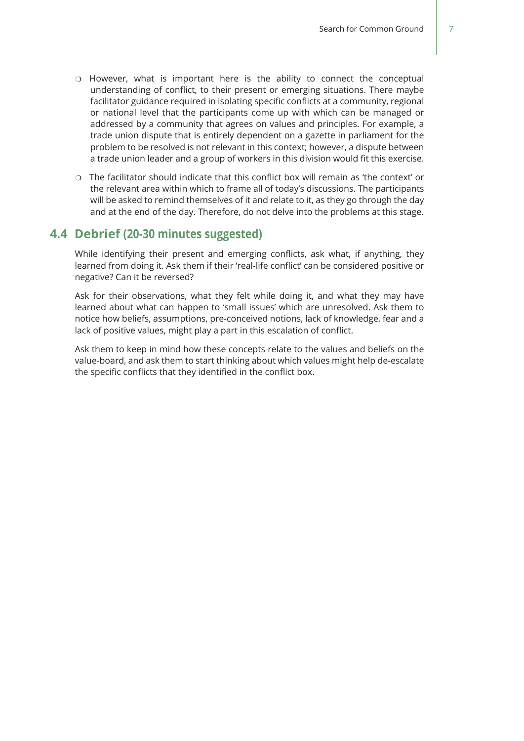- ❍ However, what is important here is the ability to connect the conceptual understanding of conflict, to their present or emerging situations. There maybe facilitator guidance required in isolating specific conflicts at a community, regional or national level that the participants come up with which can be managed or addressed by a community that agrees on values and principles. For example, a trade union dispute that is entirely dependent on a gazette in parliament for the problem to be resolved is not relevant in this context; however, a dispute between a trade union leader and a group of workers in this division would fit this exercise.
- ❍ The facilitator should indicate that this conflict box will remain as 'the context' or the relevant area within which to frame all of today's discussions. The participants will be asked to remind themselves of it and relate to it, as they go through the day and at the end of the day. Therefore, do not delve into the problems at this stage.

#### **4.4 Debrief (20-30 minutes suggested)**

While identifying their present and emerging conflicts, ask what, if anything, they learned from doing it. Ask them if their 'real-life conflict' can be considered positive or negative? Can it be reversed?

Ask for their observations, what they felt while doing it, and what they may have learned about what can happen to 'small issues' which are unresolved. Ask them to notice how beliefs, assumptions, pre-conceived notions, lack of knowledge, fear and a lack of positive values, might play a part in this escalation of conflict.

Ask them to keep in mind how these concepts relate to the values and beliefs on the value-board, and ask them to start thinking about which values might help de-escalate the specific conflicts that they identified in the conflict box.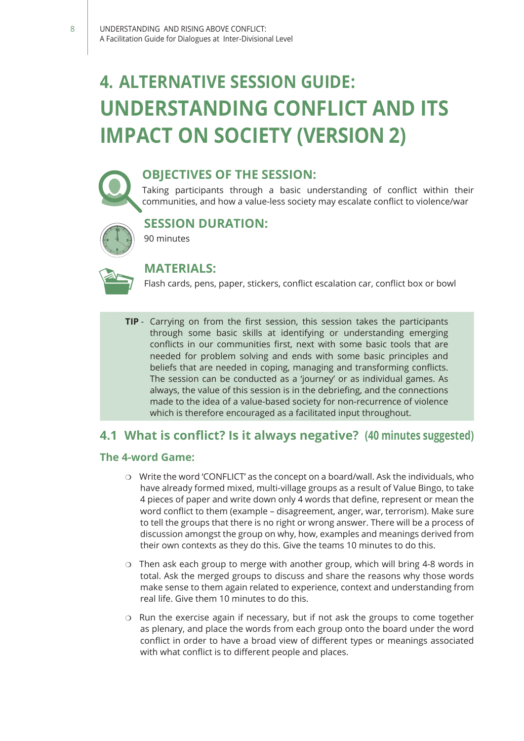## **4. ALTERNATIVE SESSION GUIDE: UNDERSTANDING CONFLICT AND ITS IMPACT ON SOCIETY (VERSION 2)**



### **OBJECTIVES OF THE SESSION:**

Taking participants through a basic understanding of conflict within their communities, and how a value-less society may escalate conflict to violence/war



#### **SESSION DURATION:**

90 minutes



#### **MATERIALS:**

Flash cards, pens, paper, stickers, conflict escalation car, conflict box or bowl

**TIP** - Carrying on from the first session, this session takes the participants through some basic skills at identifying or understanding emerging conflicts in our communities first, next with some basic tools that are needed for problem solving and ends with some basic principles and beliefs that are needed in coping, managing and transforming conflicts. The session can be conducted as a 'journey' or as individual games. As always, the value of this session is in the debriefing, and the connections made to the idea of a value-based society for non-recurrence of violence which is therefore encouraged as a facilitated input throughout.

### **4.1 What is conflict? Is it always negative? (40 minutes suggested)**

#### **The 4-word Game:**

- ❍ Write the word 'CONFLICT' as the concept on a board/wall. Ask the individuals, who have already formed mixed, multi-village groups as a result of Value Bingo, to take 4 pieces of paper and write down only 4 words that define, represent or mean the word conflict to them (example – disagreement, anger, war, terrorism). Make sure to tell the groups that there is no right or wrong answer. There will be a process of discussion amongst the group on why, how, examples and meanings derived from their own contexts as they do this. Give the teams 10 minutes to do this.
- ❍ Then ask each group to merge with another group, which will bring 4-8 words in total. Ask the merged groups to discuss and share the reasons why those words make sense to them again related to experience, context and understanding from real life. Give them 10 minutes to do this.
- ❍ Run the exercise again if necessary, but if not ask the groups to come together as plenary, and place the words from each group onto the board under the word conflict in order to have a broad view of different types or meanings associated with what conflict is to different people and places.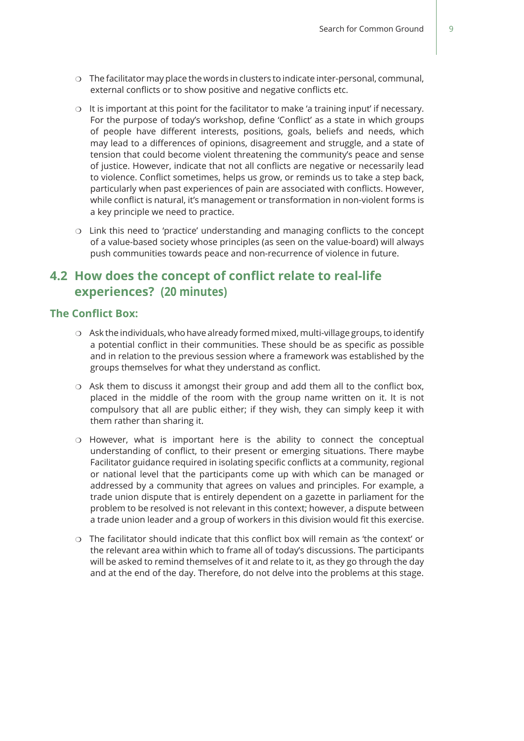- ❍ The facilitator may place the words in clusters to indicate inter-personal, communal, external conflicts or to show positive and negative conflicts etc.
- ❍ It is important at this point for the facilitator to make 'a training input' if necessary. For the purpose of today's workshop, define 'Conflict' as a state in which groups of people have different interests, positions, goals, beliefs and needs, which may lead to a differences of opinions, disagreement and struggle, and a state of tension that could become violent threatening the community's peace and sense of justice. However, indicate that not all conflicts are negative or necessarily lead to violence. Conflict sometimes, helps us grow, or reminds us to take a step back, particularly when past experiences of pain are associated with conflicts. However, while conflict is natural, it's management or transformation in non-violent forms is a key principle we need to practice.
- ❍ Link this need to 'practice' understanding and managing conflicts to the concept of a value-based society whose principles (as seen on the value-board) will always push communities towards peace and non-recurrence of violence in future.

## **4.2 How does the concept of conflict relate to real-life experiences? (20 minutes)**

#### **The Conflict Box:**

- $\circ$  Ask the individuals, who have already formed mixed, multi-village groups, to identify a potential conflict in their communities. These should be as specific as possible and in relation to the previous session where a framework was established by the groups themselves for what they understand as conflict.
- ❍ Ask them to discuss it amongst their group and add them all to the conflict box, placed in the middle of the room with the group name written on it. It is not compulsory that all are public either; if they wish, they can simply keep it with them rather than sharing it.
- ❍ However, what is important here is the ability to connect the conceptual understanding of conflict, to their present or emerging situations. There maybe Facilitator guidance required in isolating specific conflicts at a community, regional or national level that the participants come up with which can be managed or addressed by a community that agrees on values and principles. For example, a trade union dispute that is entirely dependent on a gazette in parliament for the problem to be resolved is not relevant in this context; however, a dispute between a trade union leader and a group of workers in this division would fit this exercise.
- $\Omega$  The facilitator should indicate that this conflict box will remain as 'the context' or the relevant area within which to frame all of today's discussions. The participants will be asked to remind themselves of it and relate to it, as they go through the day and at the end of the day. Therefore, do not delve into the problems at this stage.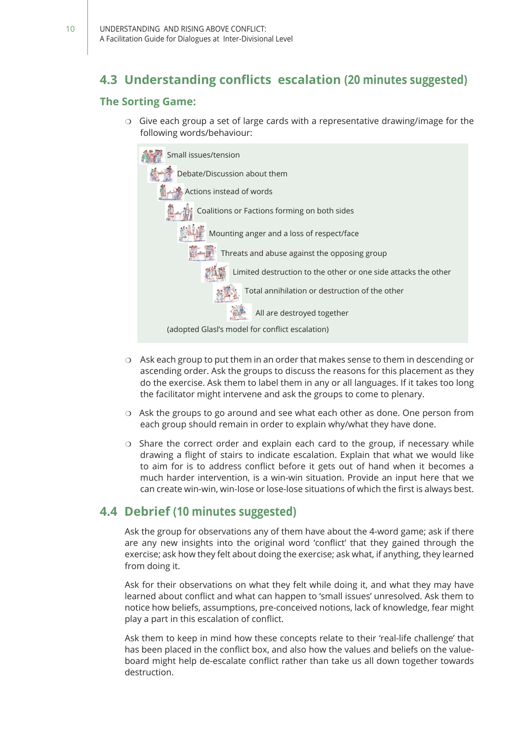## **4.3 Understanding conflicts escalation (20 minutes suggested)**

#### **The Sorting Game:**

❍ Give each group a set of large cards with a representative drawing/image for the following words/behaviour:



- ❍ Ask each group to put them in an order that makes sense to them in descending or ascending order. Ask the groups to discuss the reasons for this placement as they do the exercise. Ask them to label them in any or all languages. If it takes too long the facilitator might intervene and ask the groups to come to plenary.
- ❍ Ask the groups to go around and see what each other as done. One person from each group should remain in order to explain why/what they have done.
- ❍ Share the correct order and explain each card to the group, if necessary while drawing a flight of stairs to indicate escalation. Explain that what we would like to aim for is to address conflict before it gets out of hand when it becomes a much harder intervention, is a win-win situation. Provide an input here that we can create win-win, win-lose or lose-lose situations of which the first is always best.

### **4.4 Debrief (10 minutes suggested)**

Ask the group for observations any of them have about the 4-word game; ask if there are any new insights into the original word 'conflict' that they gained through the exercise; ask how they felt about doing the exercise; ask what, if anything, they learned from doing it.

Ask for their observations on what they felt while doing it, and what they may have learned about conflict and what can happen to 'small issues' unresolved. Ask them to notice how beliefs, assumptions, pre-conceived notions, lack of knowledge, fear might play a part in this escalation of conflict.

Ask them to keep in mind how these concepts relate to their 'real-life challenge' that has been placed in the conflict box, and also how the values and beliefs on the valueboard might help de-escalate conflict rather than take us all down together towards destruction.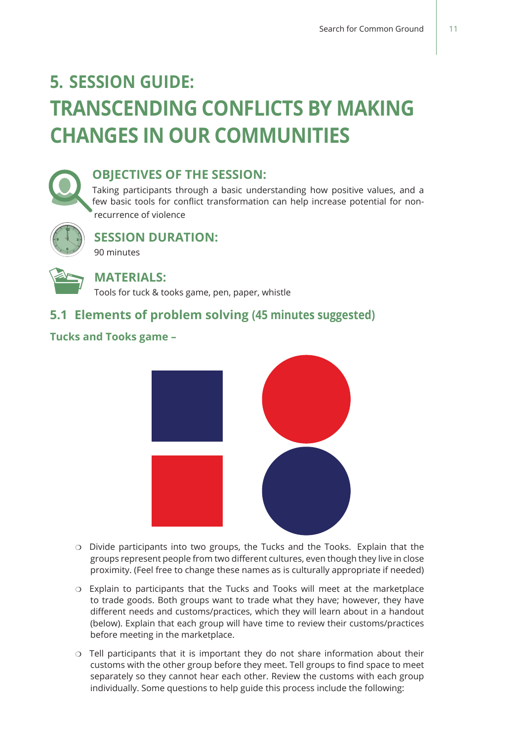## **5. SESSION GUIDE: TRANSCENDING CONFLICTS BY MAKING CHANGES IN OUR COMMUNITIES**



#### **OBJECTIVES OF THE SESSION:**

Taking participants through a basic understanding how positive values, and a few basic tools for conflict transformation can help increase potential for nonrecurrence of violence



## **SESSION DURATION:**

90 minutes



#### **MATERIALS:**

Tools for tuck & tooks game, pen, paper, whistle

## **5.1 Elements of problem solving (45 minutes suggested)**

#### **Tucks and Tooks game –**



- ❍ Divide participants into two groups, the Tucks and the Tooks.
Explain that the groups represent people from two different cultures, even though they live in close proximity. (Feel free to change these names as is culturally appropriate if needed)
- ❍ Explain to participants that the Tucks and Tooks will meet at the marketplace to trade goods. Both groups want to trade what they have; however, they have different needs and customs/practices, which they will learn about in a handout (below). Explain that each group will have time to review their customs/practices before meeting in the marketplace.
- ❍ Tell participants that it is important they do not share information about their customs with the other group before they meet. Tell groups to find space to meet separately so they cannot hear each other. Review the customs with each group individually. Some questions to help guide this process include the following: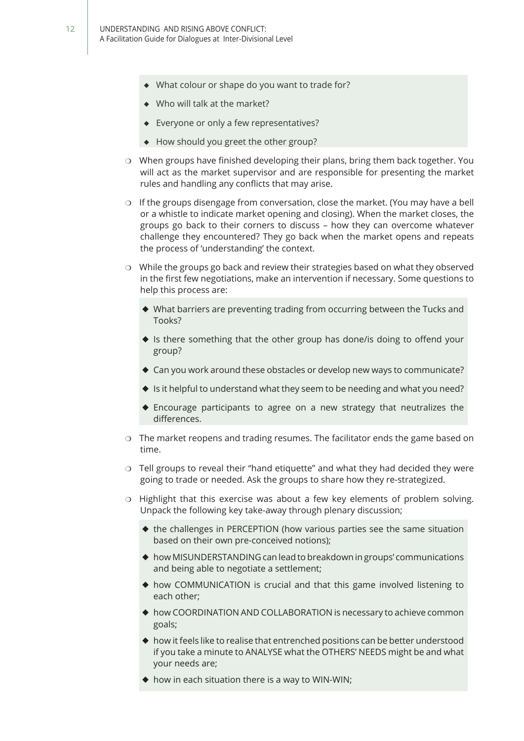- ◆ What colour or shape do you want to trade for?
- ◆ Who will talk at the market?
- ◆ Everyone or only a few representatives?
- ◆ How should you greet the other group?
- $\circ$  When groups have finished developing their plans, bring them back together. You will act as the market supervisor and are responsible for presenting the market rules and handling any conflicts that may arise.
- ❍ If the groups disengage from conversation, close the market. (You may have a bell or a whistle to indicate market opening and closing). When the market closes, the groups go back to their corners to discuss – how they can overcome whatever challenge they encountered? They go back when the market opens and repeats the process of 'understanding' the context.
- ❍ While the groups go back and review their strategies based on what they observed in the first few negotiations, make an intervention if necessary. Some questions to help this process are:
	- ◆ What barriers are preventing trading from occurring between the Tucks and Tooks?
	- ◆ Is there something that the other group has done/is doing to offend your group?
	- ◆ Can you work around these obstacles or develop new ways to communicate?
	- ◆ Is it helpful to understand what they seem to be needing and what you need?
	- ◆ Encourage participants to agree on a new strategy that neutralizes the differences.
- ❍ The market reopens and trading resumes. The facilitator ends the game based on time.
- ❍ Tell groups to reveal their "hand etiquette" and what they had decided they were going to trade or needed. Ask the groups to share how they re-strategized.
- ❍ Highlight that this exercise was about a few key elements of problem solving. Unpack the following key take-away through plenary discussion;
	- ◆ the challenges in PERCEPTION (how various parties see the same situation based on their own pre-conceived notions);
	- ◆ how MISUNDERSTANDING can lead to breakdown in groups' communications and being able to negotiate a settlement;
	- ◆ how COMMUNICATION is crucial and that this game involved listening to each other;
	- ◆ how COORDINATION AND COLLABORATION is necessary to achieve common goals;
	- ◆ how it feels like to realise that entrenched positions can be better understood if you take a minute to ANALYSE what the OTHERS' NEEDS might be and what your needs are;
	- ◆ how in each situation there is a way to WIN-WIN;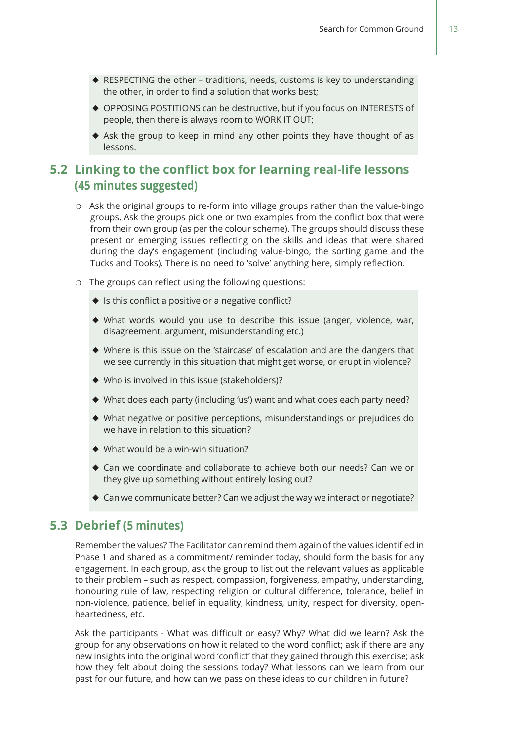- ◆ RESPECTING the other traditions, needs, customs is key to understanding the other, in order to find a solution that works best;
- ◆ OPPOSING POSTITIONS can be destructive, but if you focus on INTERESTS of people, then there is always room to WORK IT OUT;
- ◆ Ask the group to keep in mind any other points they have thought of as lessons.

### **5.2 Linking to the conflict box for learning real-life lessons (45 minutes suggested)**

- ❍ Ask the original groups to re-form into village groups rather than the value-bingo groups. Ask the groups pick one or two examples from the conflict box that were from their own group (as per the colour scheme). The groups should discuss these present or emerging issues reflecting on the skills and ideas that were shared during the day's engagement (including value-bingo, the sorting game and the Tucks and Tooks). There is no need to 'solve' anything here, simply reflection.
- ❍ The groups can reflect using the following questions:
	- ◆ Is this conflict a positive or a negative conflict?
	- ◆ What words would you use to describe this issue (anger, violence, war, disagreement, argument, misunderstanding etc.)
	- ◆ Where is this issue on the 'staircase' of escalation and are the dangers that we see currently in this situation that might get worse, or erupt in violence?
	- ◆ Who is involved in this issue (stakeholders)?
	- ◆ What does each party (including 'us') want and what does each party need?
	- ◆ What negative or positive perceptions, misunderstandings or prejudices do we have in relation to this situation?
	- ◆ What would be a win-win situation?
	- ◆ Can we coordinate and collaborate to achieve both our needs? Can we or they give up something without entirely losing out?
	- $\triangle$  Can we communicate better? Can we adjust the way we interact or negotiate?

#### **5.3 Debrief (5 minutes)**

Remember the values? The Facilitator can remind them again of the values identified in Phase 1 and shared as a commitment/ reminder today, should form the basis for any engagement. In each group, ask the group to list out the relevant values as applicable to their problem – such as respect, compassion, forgiveness, empathy, understanding, honouring rule of law, respecting religion or cultural difference, tolerance, belief in non-violence, patience, belief in equality, kindness, unity, respect for diversity, openheartedness, etc.

Ask the participants - What was difficult or easy? Why? What did we learn? Ask the group for any observations on how it related to the word conflict; ask if there are any new insights into the original word 'conflict' that they gained through this exercise; ask how they felt about doing the sessions today? What lessons can we learn from our past for our future, and how can we pass on these ideas to our children in future?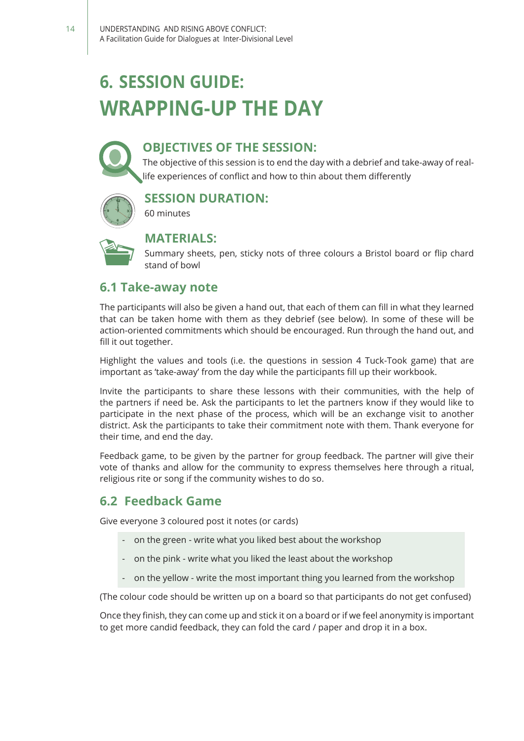## **6. SESSION GUIDE: WRAPPING-UP THE DAY**



### **OBJECTIVES OF THE SESSION:**

The objective of this session is to end the day with a debrief and take-away of reallife experiences of conflict and how to thin about them differently



#### **SESSION DURATION:**

60 minutes



#### **MATERIALS:**

Summary sheets, pen, sticky nots of three colours a Bristol board or flip chard stand of bowl

### **6.1 Take-away note**

The participants will also be given a hand out, that each of them can fill in what they learned that can be taken home with them as they debrief (see below). In some of these will be action-oriented commitments which should be encouraged. Run through the hand out, and fill it out together.

Highlight the values and tools (i.e. the questions in session 4 Tuck-Took game) that are important as 'take-away' from the day while the participants fill up their workbook.

Invite the participants to share these lessons with their communities, with the help of the partners if need be. Ask the participants to let the partners know if they would like to participate in the next phase of the process, which will be an exchange visit to another district. Ask the participants to take their commitment note with them. Thank everyone for their time, and end the day.

Feedback game, to be given by the partner for group feedback. The partner will give their vote of thanks and allow for the community to express themselves here through a ritual, religious rite or song if the community wishes to do so.

## **6.2 Feedback Game**

Give everyone 3 coloured post it notes (or cards)

- on the green write what you liked best about the workshop
- on the pink write what you liked the least about the workshop
- on the yellow write the most important thing you learned from the workshop

(The colour code should be written up on a board so that participants do not get confused)

Once they finish, they can come up and stick it on a board or if we feel anonymity is important to get more candid feedback, they can fold the card / paper and drop it in a box.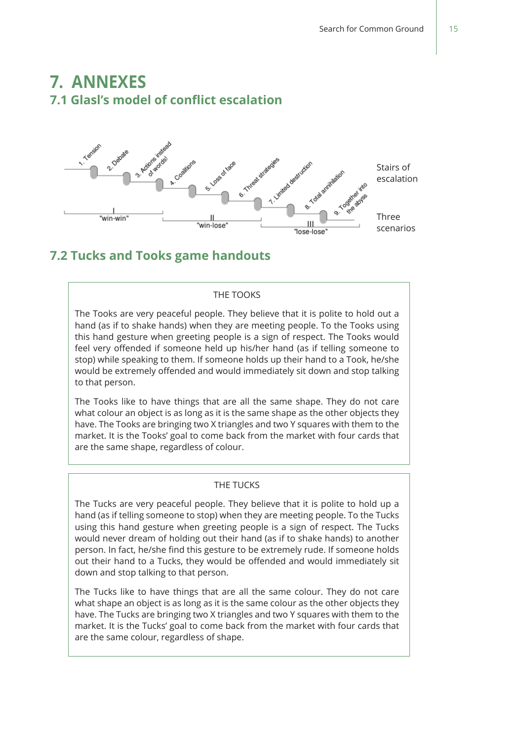

## **7. ANNEXES 7.1 Glasl's model of conflict escalation**

## **7.2 Tucks and Tooks game handouts**

#### THE TOOKS

The Tooks are very peaceful people. They believe that it is polite to hold out a hand (as if to shake hands) when they are meeting people. To the Tooks using this hand gesture when greeting people is a sign of respect. The Tooks would feel very offended if someone held up his/her hand (as if telling someone to stop) while speaking to them. If someone holds up their hand to a Took, he/she would be extremely offended and would immediately sit down and stop talking to that person.

The Tooks like to have things that are all the same shape. They do not care what colour an object is as long as it is the same shape as the other objects they have. The Tooks are bringing two X triangles and two Y squares with them to the market. It is the Tooks' goal to come back from the market with four cards that are the same shape, regardless of colour.

#### THE TUCKS

The Tucks are very peaceful people. They believe that it is polite to hold up a hand (as if telling someone to stop) when they are meeting people. To the Tucks using this hand gesture when greeting people is a sign of respect. The Tucks would never dream of holding out their hand (as if to shake hands) to another person. In fact, he/she find this gesture to be extremely rude. If someone holds out their hand to a Tucks, they would be offended and would immediately sit down and stop talking to that person.

The Tucks like to have things that are all the same colour. They do not care what shape an object is as long as it is the same colour as the other objects they have. The Tucks are bringing two X triangles and two Y squares with them to the market. It is the Tucks' goal to come back from the market with four cards that are the same colour, regardless of shape.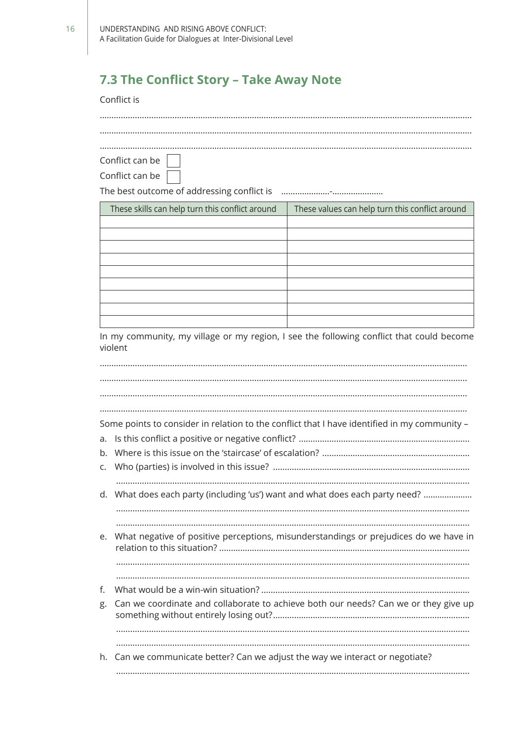## 7.3 The Conflict Story - Take Away Note

| Conflict is |  |  |
|-------------|--|--|
|             |  |  |

| Conflict can be                                                               |                                                                                         |                                                                                              |  |  |  |
|-------------------------------------------------------------------------------|-----------------------------------------------------------------------------------------|----------------------------------------------------------------------------------------------|--|--|--|
| Conflict can be                                                               |                                                                                         |                                                                                              |  |  |  |
|                                                                               |                                                                                         |                                                                                              |  |  |  |
| These skills can help turn this conflict around                               |                                                                                         | These values can help turn this conflict around                                              |  |  |  |
|                                                                               |                                                                                         |                                                                                              |  |  |  |
|                                                                               |                                                                                         |                                                                                              |  |  |  |
|                                                                               |                                                                                         |                                                                                              |  |  |  |
|                                                                               |                                                                                         |                                                                                              |  |  |  |
|                                                                               |                                                                                         |                                                                                              |  |  |  |
|                                                                               |                                                                                         |                                                                                              |  |  |  |
|                                                                               |                                                                                         |                                                                                              |  |  |  |
|                                                                               |                                                                                         |                                                                                              |  |  |  |
| violent                                                                       |                                                                                         | In my community, my village or my region, I see the following conflict that could become     |  |  |  |
|                                                                               |                                                                                         |                                                                                              |  |  |  |
|                                                                               |                                                                                         |                                                                                              |  |  |  |
|                                                                               |                                                                                         |                                                                                              |  |  |  |
|                                                                               |                                                                                         |                                                                                              |  |  |  |
|                                                                               |                                                                                         |                                                                                              |  |  |  |
|                                                                               |                                                                                         | Some points to consider in relation to the conflict that I have identified in my community - |  |  |  |
| a.                                                                            |                                                                                         |                                                                                              |  |  |  |
|                                                                               |                                                                                         |                                                                                              |  |  |  |
| C.                                                                            |                                                                                         |                                                                                              |  |  |  |
|                                                                               |                                                                                         | d. What does each party (including 'us') want and what does each party need?                 |  |  |  |
|                                                                               |                                                                                         |                                                                                              |  |  |  |
|                                                                               |                                                                                         |                                                                                              |  |  |  |
|                                                                               | e. What negative of positive perceptions, misunderstandings or prejudices do we have in |                                                                                              |  |  |  |
|                                                                               |                                                                                         |                                                                                              |  |  |  |
|                                                                               |                                                                                         |                                                                                              |  |  |  |
|                                                                               |                                                                                         |                                                                                              |  |  |  |
| f.                                                                            |                                                                                         |                                                                                              |  |  |  |
| g.                                                                            | Can we coordinate and collaborate to achieve both our needs? Can we or they give up     |                                                                                              |  |  |  |
|                                                                               |                                                                                         |                                                                                              |  |  |  |
|                                                                               |                                                                                         |                                                                                              |  |  |  |
| h. Can we communicate better? Can we adjust the way we interact or negotiate? |                                                                                         |                                                                                              |  |  |  |
|                                                                               |                                                                                         |                                                                                              |  |  |  |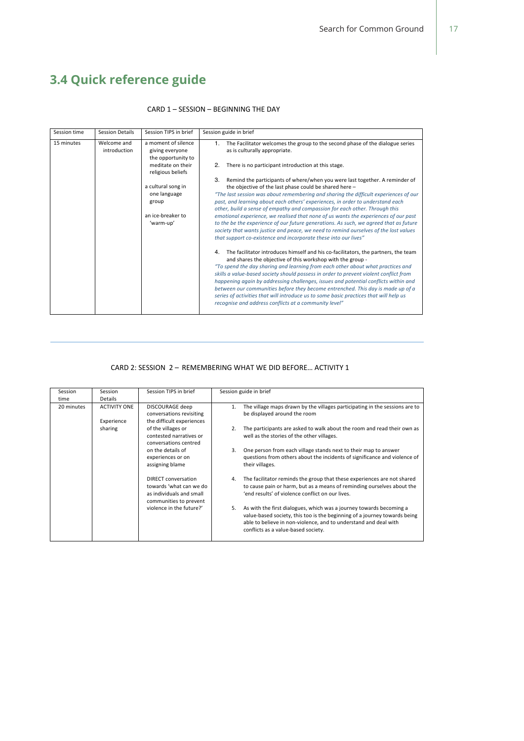## **3.4 Quick reference guide**

#### CARD 1 - SESSION - BEGINNING THE DAY

| Session time | <b>Session Details</b>      | Session TIPS in brief                                                         | Session guide in brief                                                                                                                                                                                                                                                                                                                                                                                                                                                                                                                                                                                                                                                                                                                       |
|--------------|-----------------------------|-------------------------------------------------------------------------------|----------------------------------------------------------------------------------------------------------------------------------------------------------------------------------------------------------------------------------------------------------------------------------------------------------------------------------------------------------------------------------------------------------------------------------------------------------------------------------------------------------------------------------------------------------------------------------------------------------------------------------------------------------------------------------------------------------------------------------------------|
| 15 minutes   | Welcome and<br>introduction | a moment of silence<br>giving everyone<br>the opportunity to                  | 1. The Facilitator welcomes the group to the second phase of the dialogue series<br>as is culturally appropriate.                                                                                                                                                                                                                                                                                                                                                                                                                                                                                                                                                                                                                            |
|              |                             | meditate on their<br>religious beliefs                                        | 2.<br>There is no participant introduction at this stage.                                                                                                                                                                                                                                                                                                                                                                                                                                                                                                                                                                                                                                                                                    |
|              |                             | a cultural song in<br>one language<br>group<br>an ice-breaker to<br>'warm-up' | 3. Remind the participants of where/when you were last together. A reminder of<br>the objective of the last phase could be shared here -<br>"The last session was about remembering and sharing the difficult experiences of our<br>past, and learning about each others' experiences, in order to understand each<br>other, build a sense of empathy and compassion for each other. Through this<br>emotional experience, we realised that none of us wants the experiences of our past<br>to the be the experience of our future generations. As such, we agreed that as future<br>society that wants justice and peace, we need to remind ourselves of the lost values<br>that support co-existence and incorporate these into our lives" |
|              |                             |                                                                               | The facilitator introduces himself and his co-facilitators, the partners, the team<br>4.<br>and shares the objective of this workshop with the group -<br>"To spend the day sharing and learning from each other about what practices and<br>skills a value-based society should possess in order to prevent violent conflict from<br>happening again by addressing challenges, issues and potential conflicts within and<br>between our communities before they become entrenched. This day is made up of a<br>series of activities that will introduce us to some basic practices that will help us<br>recognise and address conflicts at a community level"                                                                               |

#### CARD 2: SESSION 2 - REMEMBERING WHAT WE DID BEFORE... ACTIVITY 1

| Session    | Session             | Session TIPS in brief                                                                                       |    | Session guide in brief                                                                                                                                                                                                                                      |
|------------|---------------------|-------------------------------------------------------------------------------------------------------------|----|-------------------------------------------------------------------------------------------------------------------------------------------------------------------------------------------------------------------------------------------------------------|
| time       | Details             |                                                                                                             |    |                                                                                                                                                                                                                                                             |
| 20 minutes | <b>ACTIVITY ONE</b> | DISCOURAGE deep<br>conversations revisiting                                                                 | 1. | The village maps drawn by the villages participating in the sessions are to<br>be displayed around the room                                                                                                                                                 |
|            | Experience          | the difficult experiences                                                                                   |    |                                                                                                                                                                                                                                                             |
|            | sharing             | of the villages or<br>contested narratives or<br>conversations centred                                      | 2. | The participants are asked to walk about the room and read their own as<br>well as the stories of the other villages.                                                                                                                                       |
|            |                     | on the details of<br>experiences or on<br>assigning blame                                                   | 3. | One person from each village stands next to their map to answer<br>questions from others about the incidents of significance and violence of<br>their villages.                                                                                             |
|            |                     | <b>DIRECT</b> conversation<br>towards 'what can we do<br>as individuals and small<br>communities to prevent | 4. | The facilitator reminds the group that these experiences are not shared<br>to cause pain or harm, but as a means of reminding ourselves about the<br>'end results' of violence conflict on our lives.                                                       |
|            |                     | violence in the future?'                                                                                    | 5. | As with the first dialogues, which was a journey towards becoming a<br>value-based society, this too is the beginning of a journey towards being<br>able to believe in non-violence, and to understand and deal with<br>conflicts as a value-based society. |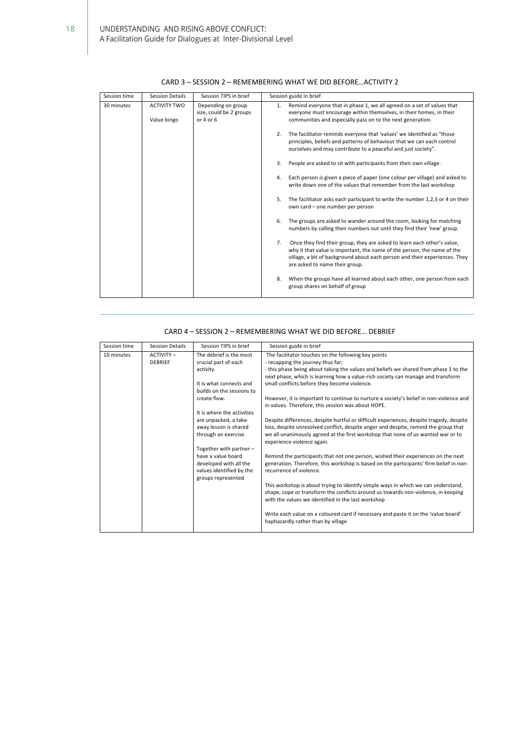| Session time | <b>Session Details</b>             | Session TIPS in brief                                          |                | Session guide in brief                                                                                                                                                                                                                                             |
|--------------|------------------------------------|----------------------------------------------------------------|----------------|--------------------------------------------------------------------------------------------------------------------------------------------------------------------------------------------------------------------------------------------------------------------|
| 30 minutes   | <b>ACTIVITY TWO</b><br>Value bingo | Depending on group<br>size, could be 2 groups<br>or $4$ or $6$ | 1.             | Remind everyone that in phase 1, we all agreed on a set of values that<br>everyone must encourage within themselves, in their homes, in their<br>communities and especially pass on to the next generation.                                                        |
|              |                                    |                                                                | 2.             | The facilitator reminds everyone that 'values' we identified as "those<br>principles, beliefs and patterns of behaviour that we can each control<br>ourselves and may contribute to a peaceful and just society".                                                  |
|              |                                    |                                                                | 3.             | People are asked to sit with participants from their own village.                                                                                                                                                                                                  |
|              |                                    |                                                                | 4.             | Each person is given a piece of paper (one colour per village) and asked to<br>write down one of the values that remember from the last workshop                                                                                                                   |
|              |                                    |                                                                | 5.             | The facilitator asks each participant to write the number 1,2,3 or 4 on their<br>own card - one number per person                                                                                                                                                  |
|              |                                    |                                                                | 6.             | The groups are asked to wander around the room, looking for matching<br>numbers by calling their numbers out until they find their 'new' group.                                                                                                                    |
|              |                                    |                                                                | 7 <sub>1</sub> | Once they find their group, they are asked to learn each other's value,<br>why it that value is important, the name of the person, the name of the<br>village, a bit of background about each person and their experiences. They<br>are asked to name their group. |
|              |                                    |                                                                | 8.             | When the groups have all learned about each other, one person from each<br>group shares on behalf of group                                                                                                                                                         |

|  |  |  | CARD 4 – SESSION 2 – REMEMBERING WHAT WE DID BEFORE DEBRIEF |
|--|--|--|-------------------------------------------------------------|
|--|--|--|-------------------------------------------------------------|

| Session time | <b>Session Details</b>      | Session TIPS in brief                                                                          | Session guide in brief                                                                                                                                                                                                                                                                           |
|--------------|-----------------------------|------------------------------------------------------------------------------------------------|--------------------------------------------------------------------------------------------------------------------------------------------------------------------------------------------------------------------------------------------------------------------------------------------------|
| 10 minutes   | ACTIVITY-<br><b>DEBRIEF</b> | The debrief is the most<br>crucial part of each                                                | The facilitator touches on the following key points<br>- recapping the journey thus far;                                                                                                                                                                                                         |
|              |                             | activity.                                                                                      | - this phase being about taking the values and beliefs we shared from phase 1 to the<br>next phase, which is learning how a value-rich society can manage and transform                                                                                                                          |
|              |                             | It is what connects and<br>builds on the sessions to                                           | small conflicts before they become violence.                                                                                                                                                                                                                                                     |
|              |                             | create flow.                                                                                   | However, it is important to continue to nurture a society's belief in non-violence and<br>in values. Therefore, this session was about HOPE.                                                                                                                                                     |
|              |                             | It is where the activities                                                                     |                                                                                                                                                                                                                                                                                                  |
|              |                             | are unpacked, a take-<br>away lesson is shared<br>through an exercise.                         | Despite differences, despite hurtful or difficult experiences, despite tragedy, despite<br>loss, despite unresolved conflict, despite anger and despite, remind the group that<br>we all unanimously agreed at the first workshop that none of us wanted war or to<br>experience violence again. |
|              |                             | Together with partner -                                                                        |                                                                                                                                                                                                                                                                                                  |
|              |                             | have a value board<br>developed with all the<br>values identified by the<br>groups represented | Remind the participants that not one person, wished their experiences on the next<br>generation. Therefore, this workshop is based on the participants' firm belief in non-<br>recurrence of violence.                                                                                           |
|              |                             |                                                                                                | This workshop is about trying to identify simple ways in which we can understand,<br>shape, cope or transform the conflicts around us towards non-violence, in keeping<br>with the values we identified in the last workshop                                                                     |
|              |                             |                                                                                                | Write each value on a coloured card if necessary and paste it on the 'value board'<br>haphazardly rather than by village                                                                                                                                                                         |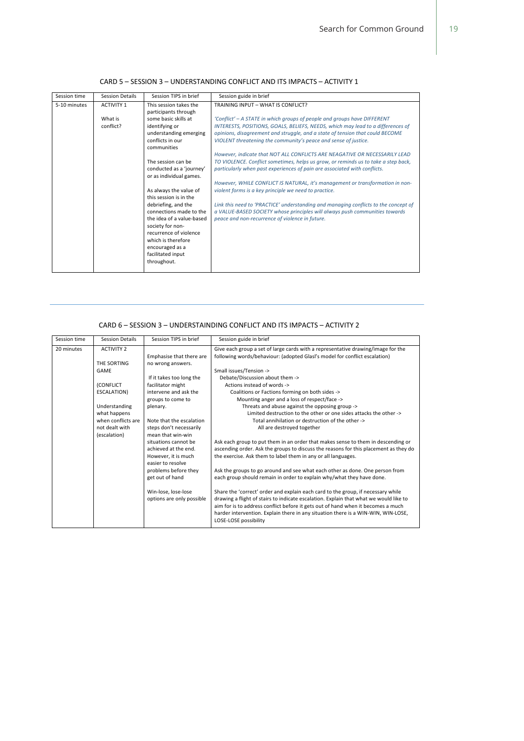| Session time | <b>Session Details</b> | Session TIPS in brief                                                                                                                                                                                  | Session guide in brief                                                                                                                                                                                                                                                                                                         |
|--------------|------------------------|--------------------------------------------------------------------------------------------------------------------------------------------------------------------------------------------------------|--------------------------------------------------------------------------------------------------------------------------------------------------------------------------------------------------------------------------------------------------------------------------------------------------------------------------------|
| 5-10 minutes | <b>ACTIVITY 1</b>      | This session takes the<br>participants through                                                                                                                                                         | TRAINING INPUT - WHAT IS CONFLICT?                                                                                                                                                                                                                                                                                             |
|              | What is<br>conflict?   | some basic skills at<br>identifying or<br>understanding emerging<br>conflicts in our<br>communities                                                                                                    | 'Conflict' - A STATE in which groups of people and groups have DIFFERENT<br>INTERESTS, POSITIONS, GOALS, BELIEFS, NEEDS, which may lead to a differences of<br>opinions, disagreement and struggle, and a state of tension that could BECOME<br>VIOLENT threatening the community's peace and sense of justice.                |
|              |                        | The session can be<br>conducted as a 'journey'<br>or as individual games.                                                                                                                              | However, indicate that NOT ALL CONFLICTS ARE NEAGATIVE OR NECESSARILY LEAD<br>TO VIOLENCE. Conflict sometimes, helps us grow, or reminds us to take a step back,<br>particularly when past experiences of pain are associated with conflicts.<br>However, WHILE CONFLICT IS NATURAL, it's management or transformation in non- |
|              |                        | As always the value of<br>this session is in the                                                                                                                                                       | violent forms is a key principle we need to practice.                                                                                                                                                                                                                                                                          |
|              |                        | debriefing, and the<br>connections made to the<br>the idea of a value-based<br>society for non-<br>recurrence of violence<br>which is therefore<br>encouraged as a<br>facilitated input<br>throughout. | Link this need to 'PRACTICE' understanding and managing conflicts to the concept of<br>a VALUE-BASED SOCIETY whose principles will always push communities towards<br>peace and non-recurrence of violence in future.                                                                                                          |

#### CARD 5 - SESSION 3 - UNDERSTANDING CONFLICT AND ITS IMPACTS - ACTIVITY 1

#### CARD 6 - SESSION 3 - UNDERSTAINDING CONFLICT AND ITS IMPACTS - ACTIVITY 2

| Session time | <b>Session Details</b>             | Session TIPS in brief                                                                    | Session guide in brief                                                                                                                                                                                                                                                                  |
|--------------|------------------------------------|------------------------------------------------------------------------------------------|-----------------------------------------------------------------------------------------------------------------------------------------------------------------------------------------------------------------------------------------------------------------------------------------|
| 20 minutes   | <b>ACTIVITY 2</b><br>THE SORTING   | Emphasise that there are<br>no wrong answers.                                            | Give each group a set of large cards with a representative drawing/image for the<br>following words/behaviour: (adopted Glasl's model for conflict escalation)                                                                                                                          |
|              | <b>GAME</b>                        |                                                                                          | Small issues/Tension ->                                                                                                                                                                                                                                                                 |
|              |                                    | If it takes too long the                                                                 | Debate/Discussion about them ->                                                                                                                                                                                                                                                         |
|              | <b>(CONFLICT)</b>                  | facilitator might                                                                        | Actions instead of words ->                                                                                                                                                                                                                                                             |
|              | <b>ESCALATION)</b>                 | intervene and ask the                                                                    | Coalitions or Factions forming on both sides ->                                                                                                                                                                                                                                         |
|              |                                    | groups to come to                                                                        | Mounting anger and a loss of respect/face ->                                                                                                                                                                                                                                            |
|              | Understanding                      | plenary.                                                                                 | Threats and abuse against the opposing group ->                                                                                                                                                                                                                                         |
|              | what happens<br>when conflicts are | Note that the escalation                                                                 | Limited destruction to the other or one sides attacks the other -><br>Total annihilation or destruction of the other ->                                                                                                                                                                 |
|              | not dealt with                     | steps don't necessarily                                                                  | All are destroyed together                                                                                                                                                                                                                                                              |
|              | (escalation)                       | mean that win-win                                                                        |                                                                                                                                                                                                                                                                                         |
|              |                                    | situations cannot be<br>achieved at the end.<br>However, it is much<br>easier to resolve | Ask each group to put them in an order that makes sense to them in descending or<br>ascending order. Ask the groups to discuss the reasons for this placement as they do<br>the exercise. Ask them to label them in any or all languages.                                               |
|              |                                    | problems before they<br>get out of hand                                                  | Ask the groups to go around and see what each other as done. One person from<br>each group should remain in order to explain why/what they have done.                                                                                                                                   |
|              |                                    | Win-lose, lose-lose                                                                      | Share the 'correct' order and explain each card to the group, if necessary while                                                                                                                                                                                                        |
|              |                                    | options are only possible                                                                | drawing a flight of stairs to indicate escalation. Explain that what we would like to<br>aim for is to address conflict before it gets out of hand when it becomes a much<br>harder intervention. Explain there in any situation there is a WIN-WIN, WIN-LOSE,<br>LOSE-LOSE possibility |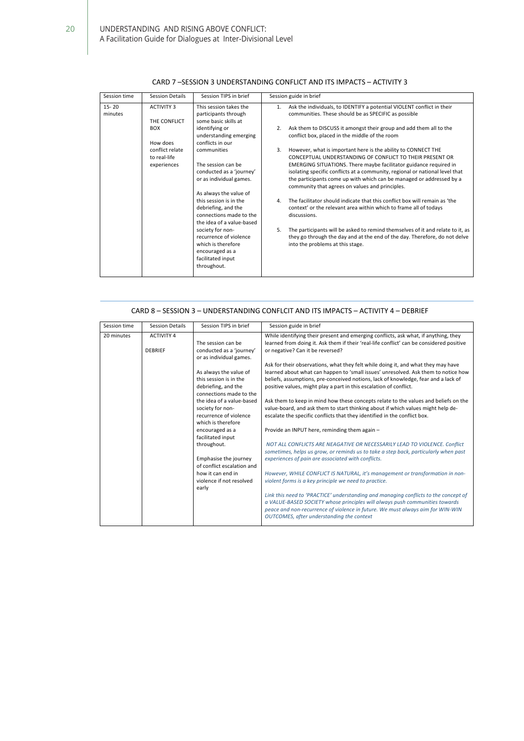| <b>Session Details</b>                         | Session TIPS in brief                                                                                                   | Session guide in brief                                                                                                                                                                                                                                                                                                                                       |
|------------------------------------------------|-------------------------------------------------------------------------------------------------------------------------|--------------------------------------------------------------------------------------------------------------------------------------------------------------------------------------------------------------------------------------------------------------------------------------------------------------------------------------------------------------|
| <b>ACTIVITY 3</b><br>THE CONFLICT              | This session takes the<br>participants through<br>some basic skills at                                                  | Ask the individuals, to IDENTIFY a potential VIOLENT conflict in their<br>1 <sup>1</sup><br>communities. These should be as SPECIFIC as possible                                                                                                                                                                                                             |
| <b>BOX</b>                                     | identifying or<br>understanding emerging                                                                                | Ask them to DISCUSS it amongst their group and add them all to the<br>2.<br>conflict box, placed in the middle of the room                                                                                                                                                                                                                                   |
| conflict relate<br>to real-life<br>experiences | communities<br>The session can be<br>conducted as a 'journey'                                                           | 3.<br>However, what is important here is the ability to CONNECT THE<br>CONCEPTUAL UNDERSTANDING OF CONFLICT TO THEIR PRESENT OR<br>EMERGING SITUATIONS. There maybe facilitator guidance required in<br>isolating specific conflicts at a community, regional or national level that<br>the participants come up with which can be managed or addressed by a |
|                                                |                                                                                                                         | community that agrees on values and principles.                                                                                                                                                                                                                                                                                                              |
|                                                | this session is in the<br>debriefing, and the<br>connections made to the<br>the idea of a value-based                   | The facilitator should indicate that this conflict box will remain as 'the<br>$\overline{a}$<br>context' or the relevant area within which to frame all of todays<br>discussions.                                                                                                                                                                            |
|                                                | society for non-<br>recurrence of violence<br>which is therefore<br>encouraged as a<br>facilitated input<br>throughout. | 5.<br>The participants will be asked to remind themselves of it and relate to it, as<br>they go through the day and at the end of the day. Therefore, do not delve<br>into the problems at this stage.                                                                                                                                                       |
|                                                | How does                                                                                                                | conflicts in our<br>or as individual games.<br>As always the value of                                                                                                                                                                                                                                                                                        |

| CARD 7 -SESSION 3 UNDERSTANDING CONFLICT AND ITS IMPACTS - ACTIVITY 3 |  |  |  |
|-----------------------------------------------------------------------|--|--|--|
|-----------------------------------------------------------------------|--|--|--|

| CARD 8 – SESSION 3 – UNDERSTANDING CONFLCIT AND ITS IMPACTS – ACTIVITY 4 – DEBRIEF |  |
|------------------------------------------------------------------------------------|--|
|                                                                                    |  |

| Session time | <b>Session Details</b> | Session TIPS in brief                                                   | Session guide in brief                                                                                                                                                                                                                                                                            |
|--------------|------------------------|-------------------------------------------------------------------------|---------------------------------------------------------------------------------------------------------------------------------------------------------------------------------------------------------------------------------------------------------------------------------------------------|
| 20 minutes   | <b>ACTIVITY 4</b>      | The session can be                                                      | While identifying their present and emerging conflicts, ask what, if anything, they<br>learned from doing it. Ask them if their 'real-life conflict' can be considered positive                                                                                                                   |
|              | <b>DEBRIEF</b>         | conducted as a 'journey'<br>or as individual games.                     | or negative? Can it be reversed?                                                                                                                                                                                                                                                                  |
|              |                        |                                                                         | Ask for their observations, what they felt while doing it, and what they may have                                                                                                                                                                                                                 |
|              |                        | As always the value of<br>this session is in the<br>debriefing, and the | learned about what can happen to 'small issues' unresolved. Ask them to notice how<br>beliefs, assumptions, pre-conceived notions, lack of knowledge, fear and a lack of<br>positive values, might play a part in this escalation of conflict.                                                    |
|              |                        | connections made to the                                                 |                                                                                                                                                                                                                                                                                                   |
|              |                        | the idea of a value-based<br>society for non-                           | Ask them to keep in mind how these concepts relate to the values and beliefs on the<br>value-board, and ask them to start thinking about if which values might help de-                                                                                                                           |
|              |                        | recurrence of violence<br>which is therefore                            | escalate the specific conflicts that they identified in the conflict box.                                                                                                                                                                                                                         |
|              |                        | encouraged as a<br>facilitated input                                    | Provide an INPUT here, reminding them again -                                                                                                                                                                                                                                                     |
|              |                        | throughout.                                                             | NOT ALL CONFLICTS ARE NEAGATIVE OR NECESSARILY LEAD TO VIOLENCE. Conflict<br>sometimes, helps us grow, or reminds us to take a step back, particularly when past                                                                                                                                  |
|              |                        | Emphasise the journey<br>of conflict escalation and                     | experiences of pain are associated with conflicts.                                                                                                                                                                                                                                                |
|              |                        | how it can end in<br>violence if not resolved                           | However, WHILE CONFLICT IS NATURAL, it's management or transformation in non-<br>violent forms is a key principle we need to practice.                                                                                                                                                            |
|              |                        | early                                                                   | Link this need to 'PRACTICE' understanding and managing conflicts to the concept of<br>a VALUE-BASED SOCIETY whose principles will always push communities towards<br>peace and non-recurrence of violence in future. We must always aim for WIN-WIN<br>OUTCOMES, after understanding the context |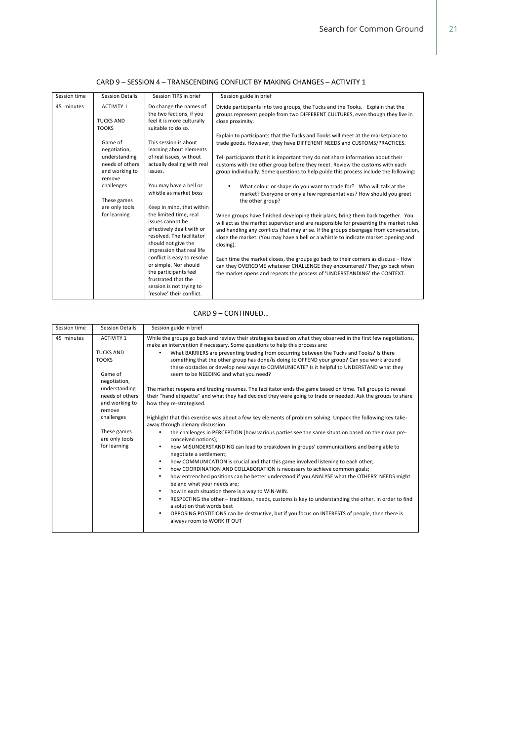| Session time | <b>Session Details</b>                                                                        | Session TIPS in brief                                                                                                                                                                                             | Session guide in brief                                                                                                                                                                                                                                                                                                                                                                                                                                                                                                     |
|--------------|-----------------------------------------------------------------------------------------------|-------------------------------------------------------------------------------------------------------------------------------------------------------------------------------------------------------------------|----------------------------------------------------------------------------------------------------------------------------------------------------------------------------------------------------------------------------------------------------------------------------------------------------------------------------------------------------------------------------------------------------------------------------------------------------------------------------------------------------------------------------|
| 45 minutes   | <b>ACTIVITY 1</b><br><b>TUCKS AND</b>                                                         | Do change the names of<br>the two factions, if you<br>feel it is more culturally                                                                                                                                  | Divide participants into two groups, the Tucks and the Tooks. Explain that the<br>groups represent people from two DIFFERENT CULTURES, even though they live in<br>close proximity.                                                                                                                                                                                                                                                                                                                                        |
|              | <b>TOOKS</b><br>Game of<br>negotiation,<br>understanding<br>needs of others<br>and working to | suitable to do so.<br>This session is about<br>learning about elements<br>of real issues, without<br>actually dealing with real<br>issues.                                                                        | Explain to participants that the Tucks and Tooks will meet at the marketplace to<br>trade goods. However, they have DIFFERENT NEEDS and CUSTOMS/PRACTICES.<br>Tell participants that it is important they do not share information about their<br>customs with the other group before they meet. Review the customs with each<br>group individually. Some questions to help guide this process include the following:                                                                                                      |
|              | remove<br>challenges<br>These games<br>are only tools<br>for learning                         | You may have a bell or<br>whistle as market boss<br>Keep in mind, that within<br>the limited time, real<br>issues cannot be<br>effectively dealt with or<br>resolved. The facilitator                             | What colour or shape do you want to trade for? Who will talk at the<br>market? Everyone or only a few representatives? How should you greet<br>the other group?<br>When groups have finished developing their plans, bring them back together. You<br>will act as the market supervisor and are responsible for presenting the market rules<br>and handling any conflicts that may arise. If the groups disengage from conversation,<br>close the market. (You may have a bell or a whistle to indicate market opening and |
|              |                                                                                               | should not give the<br>impression that real life<br>conflict is easy to resolve<br>or simple. Nor should<br>the participants feel<br>frustrated that the<br>session is not trying to<br>'resolve' their conflict. | closing).<br>Each time the market closes, the groups go back to their corners as discuss - How<br>can they OVERCOME whatever CHALLENGE they encountered? They go back when<br>the market opens and repeats the process of 'UNDERSTANDING' the CONTEXT.                                                                                                                                                                                                                                                                     |

#### CARD 9 - SESSION 4 - TRANSCENDING CONFLICT BY MAKING CHANGES - ACTIVITY 1

#### CARD 9 - CONTINUED...

| While the groups go back and review their strategies based on what they observed in the first few negotiations,<br><b>ACTIVITY 1</b><br>45 minutes<br>make an intervention if necessary. Some questions to help this process are:<br><b>TUCKS AND</b><br>What BARRIERS are preventing trading from occurring between the Tucks and Tooks? Is there                                                                                                                                                                                                                                                                                                                                                                                                                                                                                                                                                                                                                                                                                                                                                                                                                                                                                                                                                                                                                                                                                                                                                                                                                                                                                                                    | Session time | <b>Session Details</b> | Session guide in brief                                                                     |  |
|-----------------------------------------------------------------------------------------------------------------------------------------------------------------------------------------------------------------------------------------------------------------------------------------------------------------------------------------------------------------------------------------------------------------------------------------------------------------------------------------------------------------------------------------------------------------------------------------------------------------------------------------------------------------------------------------------------------------------------------------------------------------------------------------------------------------------------------------------------------------------------------------------------------------------------------------------------------------------------------------------------------------------------------------------------------------------------------------------------------------------------------------------------------------------------------------------------------------------------------------------------------------------------------------------------------------------------------------------------------------------------------------------------------------------------------------------------------------------------------------------------------------------------------------------------------------------------------------------------------------------------------------------------------------------|--------------|------------------------|--------------------------------------------------------------------------------------------|--|
| these obstacles or develop new ways to COMMUNICATE? Is it helpful to UNDERSTAND what they<br>Game of<br>seem to be NEEDING and what you need?<br>negotiation,<br>understanding<br>The market reopens and trading resumes. The facilitator ends the game based on time. Tell groups to reveal<br>needs of others<br>their "hand etiquette" and what they had decided they were going to trade or needed. Ask the groups to share<br>and working to<br>how they re-strategised.<br>remove<br>challenges<br>Highlight that this exercise was about a few key elements of problem solving. Unpack the following key take-<br>away through plenary discussion<br>These games<br>the challenges in PERCEPTION (how various parties see the same situation based on their own pre-<br>٠<br>are only tools<br>conceived notions);<br>for learning<br>how MISUNDERSTANDING can lead to breakdown in groups' communications and being able to<br>٠<br>negotiate a settlement;<br>how COMMUNICATION is crucial and that this game involved listening to each other;<br>$\bullet$<br>how COORDINATION AND COLLABORATION is necessary to achieve common goals;<br>$\bullet$<br>how entrenched positions can be better understood if you ANALYSE what the OTHERS' NEEDS might<br>$\bullet$<br>be and what your needs are;<br>how in each situation there is a way to WIN-WIN.<br>$\bullet$<br>RESPECTING the other – traditions, needs, customs is key to understanding the other, in order to find<br>$\bullet$<br>a solution that words best<br>OPPOSING POSTITIONS can be destructive, but if you focus on INTERESTS of people, then there is<br>٠<br>always room to WORK IT OUT |              | <b>TOOKS</b>           | something that the other group has done/is doing to OFFEND your group? Can you work around |  |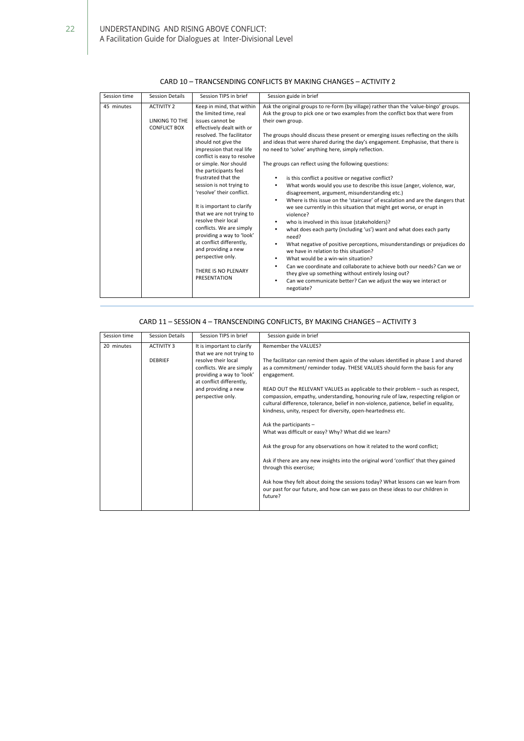| Session time | <b>Session Details</b>                                     | Session TIPS in brief                                                                                                                                                                                                                                                                                                                                                                                                                                                                                                                                                                                            | Session guide in brief                                                                                                                                                                                                                                                                                                                                                                                                                                                                                                                                                                                                                                                                                                                                                                                                                                                                                                                                                                                                                                                                                                                                                                                                                                                                                                                                                                                                                            |
|--------------|------------------------------------------------------------|------------------------------------------------------------------------------------------------------------------------------------------------------------------------------------------------------------------------------------------------------------------------------------------------------------------------------------------------------------------------------------------------------------------------------------------------------------------------------------------------------------------------------------------------------------------------------------------------------------------|---------------------------------------------------------------------------------------------------------------------------------------------------------------------------------------------------------------------------------------------------------------------------------------------------------------------------------------------------------------------------------------------------------------------------------------------------------------------------------------------------------------------------------------------------------------------------------------------------------------------------------------------------------------------------------------------------------------------------------------------------------------------------------------------------------------------------------------------------------------------------------------------------------------------------------------------------------------------------------------------------------------------------------------------------------------------------------------------------------------------------------------------------------------------------------------------------------------------------------------------------------------------------------------------------------------------------------------------------------------------------------------------------------------------------------------------------|
| 45 minutes   | <b>ACTIVITY 2</b><br>LINKING TO THE<br><b>CONFLICT BOX</b> | Keep in mind, that within<br>the limited time, real<br>issues cannot be<br>effectively dealt with or<br>resolved. The facilitator<br>should not give the<br>impression that real life<br>conflict is easy to resolve<br>or simple. Nor should<br>the participants feel<br>frustrated that the<br>session is not trying to<br>'resolve' their conflict.<br>It is important to clarify<br>that we are not trying to<br>resolve their local<br>conflicts. We are simply<br>providing a way to 'look'<br>at conflict differently,<br>and providing a new<br>perspective only.<br>THERE IS NO PLENARY<br>PRESENTATION | Ask the original groups to re-form (by village) rather than the 'value-bingo' groups.<br>Ask the group to pick one or two examples from the conflict box that were from<br>their own group.<br>The groups should discuss these present or emerging issues reflecting on the skills<br>and ideas that were shared during the day's engagement. Emphasise, that there is<br>no need to 'solve' anything here, simply reflection.<br>The groups can reflect using the following questions:<br>is this conflict a positive or negative conflict?<br>$\bullet$<br>What words would you use to describe this issue (anger, violence, war,<br>٠<br>disagreement, argument, misunderstanding etc.)<br>$\bullet$<br>Where is this issue on the 'staircase' of escalation and are the dangers that<br>we see currently in this situation that might get worse, or erupt in<br>violence?<br>who is involved in this issue (stakeholders)?<br>$\bullet$<br>what does each party (including 'us') want and what does each party<br>need?<br>What negative of positive perceptions, misunderstandings or prejudices do<br>we have in relation to this situation?<br>What would be a win-win situation?<br>$\bullet$<br>Can we coordinate and collaborate to achieve both our needs? Can we or<br>$\bullet$<br>they give up something without entirely losing out?<br>Can we communicate better? Can we adjust the way we interact or<br>$\bullet$<br>negotiate? |

CARD 10 - TRANCSENDING CONFLICTS BY MAKING CHANGES - ACTIVITY 2

#### CARD 11 - SESSION 4 - TRANSCENDING CONFLICTS, BY MAKING CHANGES - ACTIVITY 3

| Session time | <b>Session Details</b> | Session TIPS in brief                                                                                                                                                             | Session guide in brief                                                                                                                                                                                                                                                                                                                                                                                                                                                                                             |
|--------------|------------------------|-----------------------------------------------------------------------------------------------------------------------------------------------------------------------------------|--------------------------------------------------------------------------------------------------------------------------------------------------------------------------------------------------------------------------------------------------------------------------------------------------------------------------------------------------------------------------------------------------------------------------------------------------------------------------------------------------------------------|
| 20 minutes   | <b>ACTIVITY 3</b>      | It is important to clarify                                                                                                                                                        | Remember the VALUES?                                                                                                                                                                                                                                                                                                                                                                                                                                                                                               |
|              | <b>DEBRIEF</b>         | that we are not trying to<br>resolve their local<br>conflicts. We are simply<br>providing a way to 'look'<br>at conflict differently,<br>and providing a new<br>perspective only. | The facilitator can remind them again of the values identified in phase 1 and shared<br>as a commitment/reminder today. THESE VALUES should form the basis for any<br>engagement.<br>READ OUT the RELEVANT VALUES as applicable to their problem – such as respect,<br>compassion, empathy, understanding, honouring rule of law, respecting religion or<br>cultural difference, tolerance, belief in non-violence, patience, belief in equality,<br>kindness, unity, respect for diversity, open-heartedness etc. |
|              |                        |                                                                                                                                                                                   | Ask the participants -<br>What was difficult or easy? Why? What did we learn?                                                                                                                                                                                                                                                                                                                                                                                                                                      |
|              |                        |                                                                                                                                                                                   | Ask the group for any observations on how it related to the word conflict;                                                                                                                                                                                                                                                                                                                                                                                                                                         |
|              |                        |                                                                                                                                                                                   | Ask if there are any new insights into the original word 'conflict' that they gained<br>through this exercise;                                                                                                                                                                                                                                                                                                                                                                                                     |
|              |                        |                                                                                                                                                                                   | Ask how they felt about doing the sessions today? What lessons can we learn from<br>our past for our future, and how can we pass on these ideas to our children in<br>future?                                                                                                                                                                                                                                                                                                                                      |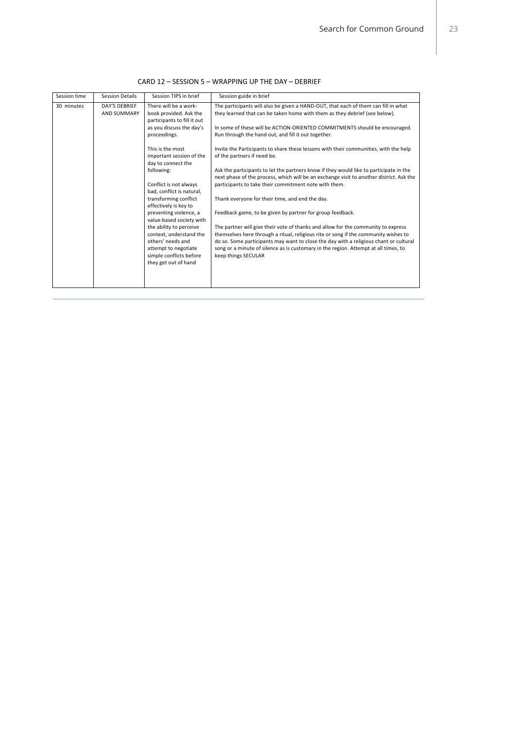| Session time | <b>Session Details</b>              | Session TIPS in brief                                                                                                                              | Session guide in brief                                                                                                                                                                                                                                                                                                                                                          |
|--------------|-------------------------------------|----------------------------------------------------------------------------------------------------------------------------------------------------|---------------------------------------------------------------------------------------------------------------------------------------------------------------------------------------------------------------------------------------------------------------------------------------------------------------------------------------------------------------------------------|
| 30 minutes   | DAY'S DEBRIEF<br><b>AND SUMMARY</b> | There will be a work-<br>book provided. Ask the<br>participants to fill it out                                                                     | The participants will also be given a HAND-OUT, that each of them can fill in what<br>they learned that can be taken home with them as they debrief (see below).                                                                                                                                                                                                                |
|              |                                     | as you discuss the day's<br>proceedings.                                                                                                           | In some of these will be ACTION-ORIENTED COMMITMENTS should be encouraged.<br>Run through the hand out, and fill it out together.                                                                                                                                                                                                                                               |
|              |                                     | This is the most<br>important session of the<br>day to connect the                                                                                 | Invite the Participants to share these lessons with their communities, with the help<br>of the partners if need be.                                                                                                                                                                                                                                                             |
|              |                                     | following:<br>Conflict is not always                                                                                                               | Ask the participants to let the partners know if they would like to participate in the<br>next phase of the process, which will be an exchange visit to another district. Ask the<br>participants to take their commitment note with them.                                                                                                                                      |
|              |                                     | bad, conflict is natural,<br>transforming conflict<br>effectively is key to                                                                        | Thank everyone for their time, and end the day.                                                                                                                                                                                                                                                                                                                                 |
|              |                                     | preventing violence, a<br>value-based society with                                                                                                 | Feedback game, to be given by partner for group feedback.                                                                                                                                                                                                                                                                                                                       |
|              |                                     | the ability to perceive<br>context, understand the<br>others' needs and<br>attempt to negotiate<br>simple conflicts before<br>they get out of hand | The partner will give their vote of thanks and allow for the community to express<br>themselves here through a ritual, religious rite or song if the community wishes to<br>do so. Some participants may want to close the day with a religious chant or cultural<br>song or a minute of silence as is customary in the region. Attempt at all times, to<br>keep things SECULAR |
|              |                                     |                                                                                                                                                    |                                                                                                                                                                                                                                                                                                                                                                                 |

CARD 12 - SESSION 5 - WRAPPING UP THE DAY - DEBRIEF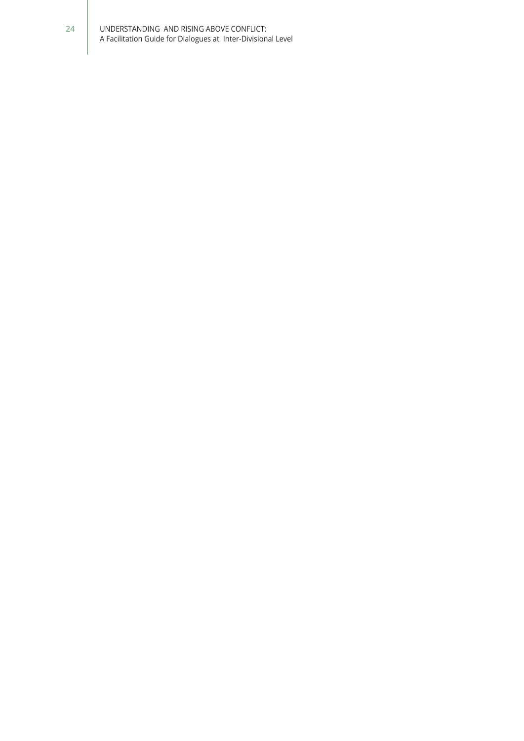UNDERSTANDING AND RISING ABOVE CONFLICT: A Facilitation Guide for Dialogues at Inter-Divisional Level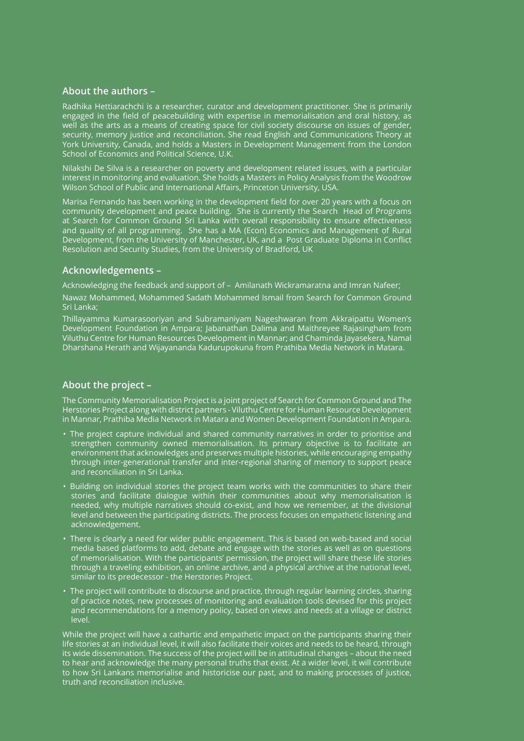#### **About the authors –**

Radhika Hettiarachchi is a researcher, curator and development practitioner. She is primarily engaged in the field of peacebuilding with expertise in memorialisation and oral history, as well as the arts as a means of creating space for civil society discourse on issues of gender, security, memory justice and reconciliation. She read English and Communications Theory at York University, Canada, and holds a Masters in Development Management from the London School of Economics and Political Science, U.K.

Nilakshi De Silva is a researcher on poverty and development related issues, with a particular interest in monitoring and evaluation. She holds a Masters in Policy Analysis from the Woodrow Wilson School of Public and International Affairs, Princeton University, USA.

Marisa Fernando has been working in the development field for over 20 years with a focus on community development and peace building. She is currently the Search Head of Programs at Search for Common Ground Sri Lanka with overall responsibility to ensure effectiveness and quality of all programming. She has a MA (Econ) Economics and Management of Rural Development, from the University of Manchester, UK, and a Post Graduate Diploma in Conflict Resolution and Security Studies, from the University of Bradford, UK

#### **Acknowledgements –**

Acknowledging the feedback and support of – Amilanath Wickramaratna and Imran Nafeer;

Nawaz Mohammed, Mohammed Sadath Mohammed Ismail from Search for Common Ground Sri Lanka;

Thillayamma Kumarasooriyan and Subramaniyam Nageshwaran from Akkraipattu Women's Development Foundation in Ampara; Jabanathan Dalima and Maithreyee Rajasingham from Viluthu Centre for Human Resources Development in Mannar; and Chaminda Jayasekera, Namal Dharshana Herath and Wijayananda Kadurupokuna from Prathiba Media Network in Matara.

#### **About the project –**

The Community Memorialisation Project is a joint project of Search for Common Ground and The Herstories Project along with district partners - Viluthu Centre for Human Resource Development in Mannar, Prathiba Media Network in Matara and Women Development Foundation in Ampara.

- The project capture individual and shared community narratives in order to prioritise and strengthen community owned memorialisation. Its primary objective is to facilitate an environment that acknowledges and preserves multiple histories, while encouraging empathy through inter-generational transfer and inter-regional sharing of memory to support peace and reconciliation in Sri Lanka.
- • Building on individual stories the project team works with the communities to share their stories and facilitate dialogue within their communities about why memorialisation is needed, why multiple narratives should co-exist, and how we remember, at the divisional level and between the participating districts. The process focuses on empathetic listening and acknowledgement.
- $\bm{\cdot}$  There is clearly a need for wider public engagement. This is based on web-based and social media based platforms to add, debate and engage with the stories as well as on questions of memorialisation. With the participants' permission, the project will share these life stories through a traveling exhibition, an online archive, and a physical archive at the national level, similar to its predecessor - the Herstories Project.
- The project will contribute to discourse and practice, through regular learning circles, sharing of practice notes, new processes of monitoring and evaluation tools devised for this project and recommendations for a memory policy, based on views and needs at a village or district level.

While the project will have a cathartic and empathetic impact on the participants sharing their life stories at an individual level, it will also facilitate their voices and needs to be heard, through its wide dissemination. The success of the project will be in attitudinal changes – about the need to hear and acknowledge the many personal truths that exist. At a wider level, it will contribute to how Sri Lankans memorialise and historicise our past, and to making processes of justice, truth and reconciliation inclusive.